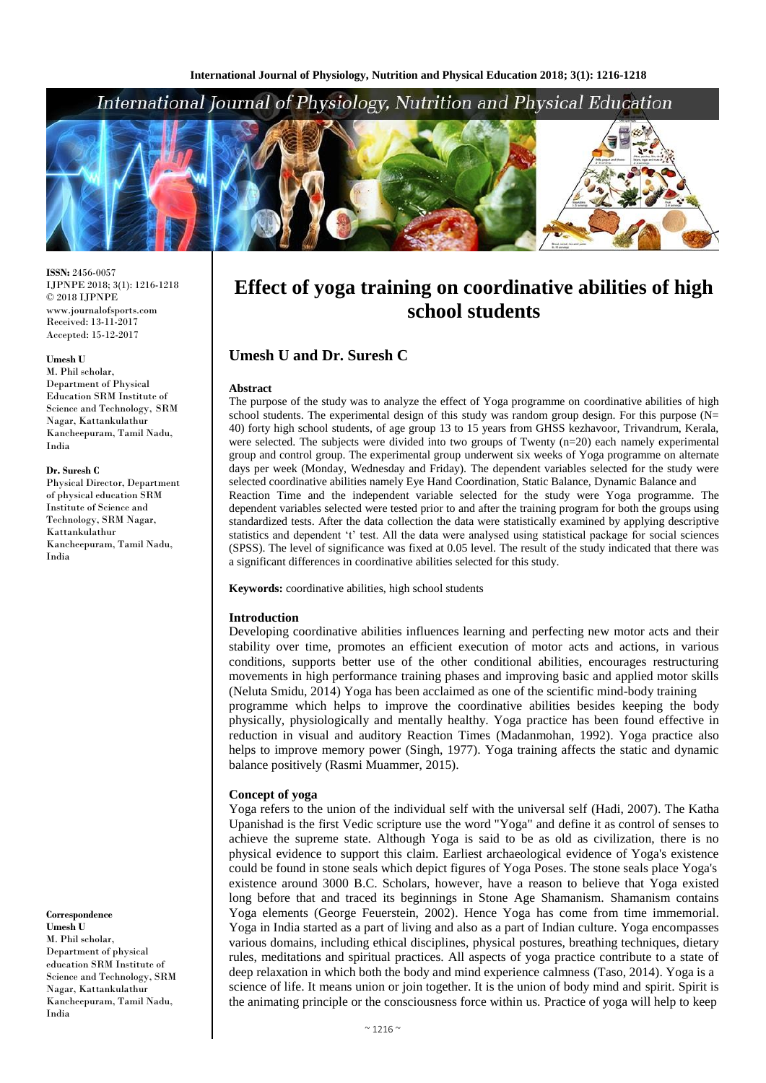## International Journal of Physiology, Nutrition and Physical Education



**ISSN:** 2456-0057 IJPNPE 2018; 3(1): 1216-1218  $\odot$  2018 IJPNPE www.journalofsports.com Received: 13-11-2017 Accepted: 15-12-2017

#### **Umesh U**

M. Phil scholar, Department of Physical Education SRM Institute of Science and Technology, SRM Nagar, Kattankulathur Kancheepuram, Tamil Nadu, India

#### **Dr. Suresh C**

Physical Director, Department of physical education SRM Institute of Science and Technology, SRM Nagar, Kattankulathur Kancheepuram, Tamil Nadu, India

**Correspondence Umesh U** M. Phil scholar, Department of physical education SRM Institute of Science and Technology, SRM Nagar, Kattankulathur Kancheepuram, Tamil Nadu, India

# **Effect of yoga training on coordinative abilities of high school students**

## **Umesh U and Dr. Suresh C**

#### **Abstract**

The purpose of the study was to analyze the effect of Yoga programme on coordinative abilities of high school students. The experimental design of this study was random group design. For this purpose ( $N=$ 40) forty high school students, of age group 13 to 15 years from GHSS kezhavoor, Trivandrum, Kerala, were selected. The subjects were divided into two groups of Twenty (n=20) each namely experimental group and control group. The experimental group underwent six weeks of Yoga programme on alternate days per week (Monday, Wednesday and Friday). The dependent variables selected for the study were selected coordinative abilities namely Eye Hand Coordination, Static Balance, Dynamic Balance and Reaction Time and the independent variable selected for the study were Yoga programme. The dependent variables selected were tested prior to and after the training program for both the groups using standardized tests. After the data collection the data were statistically examined by applying descriptive statistics and dependent 't' test. All the data were analysed using statistical package for social sciences (SPSS). The level of significance was fixed at 0.05 level. The result of the study indicated that there was a significant differences in coordinative abilities selected for this study.

**Keywords:** coordinative abilities, high school students

#### **Introduction**

Developing coordinative abilities influences learning and perfecting new motor acts and their stability over time, promotes an efficient execution of motor acts and actions, in various conditions, supports better use of the other conditional abilities, encourages restructuring movements in high performance training phases and improving basic and applied motor skills (Neluta Smidu, 2014) Yoga has been acclaimed as one of the scientific mind-body training programme which helps to improve the coordinative abilities besides keeping the body

physically, physiologically and mentally healthy. Yoga practice has been found effective in reduction in visual and auditory Reaction Times (Madanmohan, 1992). Yoga practice also helps to improve memory power (Singh, 1977). Yoga training affects the static and dynamic balance positively (Rasmi Muammer, 2015).

#### **Concept of yoga**

Yoga refers to the union of the individual self with the universal self (Hadi, 2007). The Katha Upanishad is the first Vedic scripture use the word "Yoga" and define it as control of senses to achieve the supreme state. Although Yoga is said to be as old as civilization, there is no physical evidence to support this claim. Earliest archaeological evidence of Yoga's existence could be found in stone seals which depict figures of Yoga Poses. The stone seals place Yoga's existence around 3000 B.C. Scholars, however, have a reason to believe that Yoga existed long before that and traced its beginnings in Stone Age Shamanism. Shamanism contains Yoga elements (George Feuerstein, 2002). Hence Yoga has come from time immemorial. Yoga in India started as a part of living and also as a part of Indian culture. Yoga encompasses various domains, including ethical disciplines, physical postures, breathing techniques, dietary rules, meditations and spiritual practices. All aspects of yoga practice contribute to a state of deep relaxation in which both the body and mind experience calmness (Taso, 2014). Yoga is a science of life. It means union or join together. It is the union of body mind and spirit. Spirit is the animating principle or the consciousness force within us. Practice of yoga will help to keep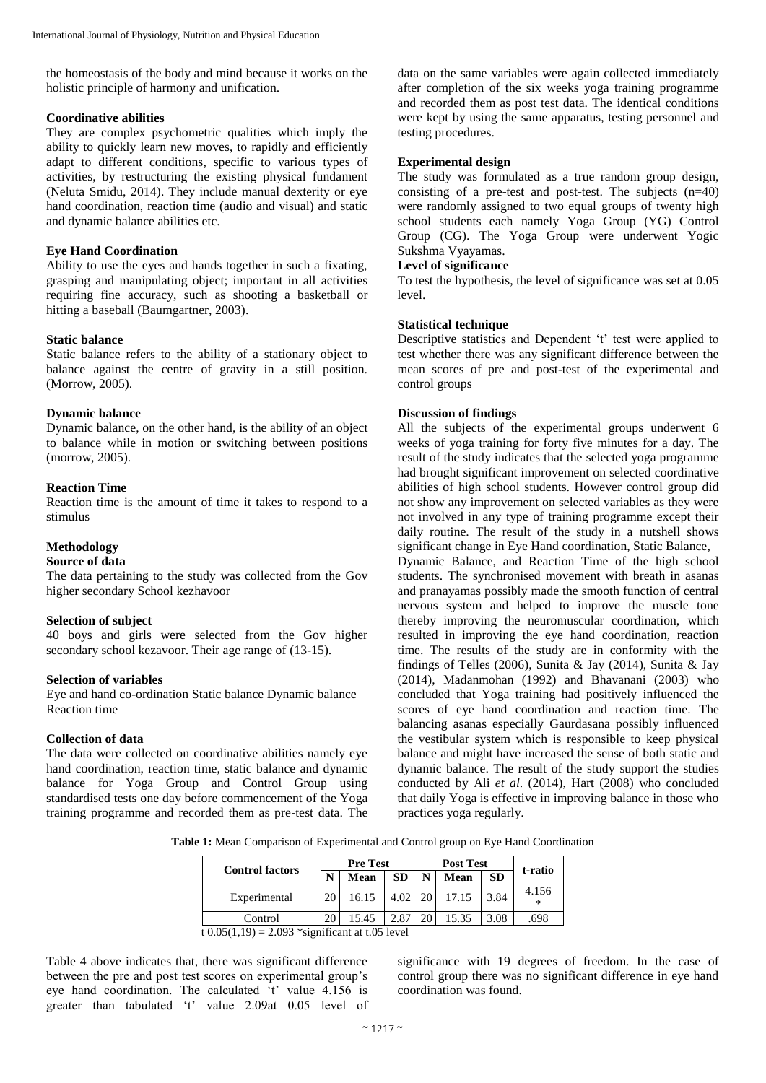the homeostasis of the body and mind because it works on the holistic principle of harmony and unification.

## **Coordinative abilities**

They are complex psychometric qualities which imply the ability to quickly learn new moves, to rapidly and efficiently adapt to different conditions, specific to various types of activities, by restructuring the existing physical fundament (Neluta Smidu, 2014). They include manual dexterity or eye hand coordination, reaction time (audio and visual) and static and dynamic balance abilities etc.

## **Eye Hand Coordination**

Ability to use the eyes and hands together in such a fixating, grasping and manipulating object; important in all activities requiring fine accuracy, such as shooting a basketball or hitting a baseball (Baumgartner, 2003).

## **Static balance**

Static balance refers to the ability of a stationary object to balance against the centre of gravity in a still position. (Morrow, 2005).

## **Dynamic balance**

Dynamic balance, on the other hand, is the ability of an object to balance while in motion or switching between positions (morrow, 2005).

## **Reaction Time**

Reaction time is the amount of time it takes to respond to a stimulus

## **Methodology**

### **Source of data**

The data pertaining to the study was collected from the Gov higher secondary School kezhavoor

#### **Selection of subject**

40 boys and girls were selected from the Gov higher secondary school kezavoor. Their age range of (13-15).

## **Selection of variables**

Eye and hand co-ordination Static balance Dynamic balance Reaction time

#### **Collection of data**

The data were collected on coordinative abilities namely eye hand coordination, reaction time, static balance and dynamic balance for Yoga Group and Control Group using standardised tests one day before commencement of the Yoga training programme and recorded them as pre-test data. The

data on the same variables were again collected immediately after completion of the six weeks yoga training programme and recorded them as post test data. The identical conditions were kept by using the same apparatus, testing personnel and testing procedures.

## **Experimental design**

The study was formulated as a true random group design, consisting of a pre-test and post-test. The subjects  $(n=40)$ were randomly assigned to two equal groups of twenty high school students each namely Yoga Group (YG) Control Group (CG). The Yoga Group were underwent Yogic Sukshma Vyayamas.

## **Level of significance**

To test the hypothesis, the level of significance was set at 0.05 level.

## **Statistical technique**

Descriptive statistics and Dependent 't' test were applied to test whether there was any significant difference between the mean scores of pre and post-test of the experimental and control groups

## **Discussion of findings**

All the subjects of the experimental groups underwent 6 weeks of yoga training for forty five minutes for a day. The result of the study indicates that the selected yoga programme had brought significant improvement on selected coordinative abilities of high school students. However control group did not show any improvement on selected variables as they were not involved in any type of training programme except their daily routine. The result of the study in a nutshell shows significant change in Eye Hand coordination, Static Balance, Dynamic Balance, and Reaction Time of the high school students. The synchronised movement with breath in asanas and pranayamas possibly made the smooth function of central nervous system and helped to improve the muscle tone thereby improving the neuromuscular coordination, which resulted in improving the eye hand coordination, reaction time. The results of the study are in conformity with the findings of Telles (2006), Sunita & Jay (2014), Sunita & Jay (2014), Madanmohan (1992) and Bhavanani (2003) who concluded that Yoga training had positively influenced the scores of eye hand coordination and reaction time. The balancing asanas especially Gaurdasana possibly influenced the vestibular system which is responsible to keep physical balance and might have increased the sense of both static and dynamic balance. The result of the study support the studies conducted by Ali *et al*. (2014), Hart (2008) who concluded that daily Yoga is effective in improving balance in those who practices yoga regularly.

**Table 1:** Mean Comparison of Experimental and Control group on Eye Hand Coordination

| <b>Control factors</b>            | <b>Pre Test</b> |  |           | <b>Post Test</b> |       |           |         |  |
|-----------------------------------|-----------------|--|-----------|------------------|-------|-----------|---------|--|
|                                   | N<br>Mean       |  | <b>SD</b> | N                | Mean  | <b>SD</b> | t-ratio |  |
| Experimental                      | 20<br>16.15     |  | 4.02      | <b>20</b>        | 17.15 | 3.84      | 4.156   |  |
| Control                           | 20<br>15.45     |  | 2.87      | 20               | 15.35 | 3.08      | .698    |  |
| $0.002 + 0.07 + 1$<br>(0.05/1.10) |                 |  |           |                  |       |           |         |  |

t  $0.05(1,19) = 2.093$  \*significant at t.05 level

Table 4 above indicates that, there was significant difference between the pre and post test scores on experimental group's eye hand coordination. The calculated 't' value 4.156 is greater than tabulated 't' value 2.09at 0.05 level of

significance with 19 degrees of freedom. In the case of control group there was no significant difference in eye hand coordination was found.